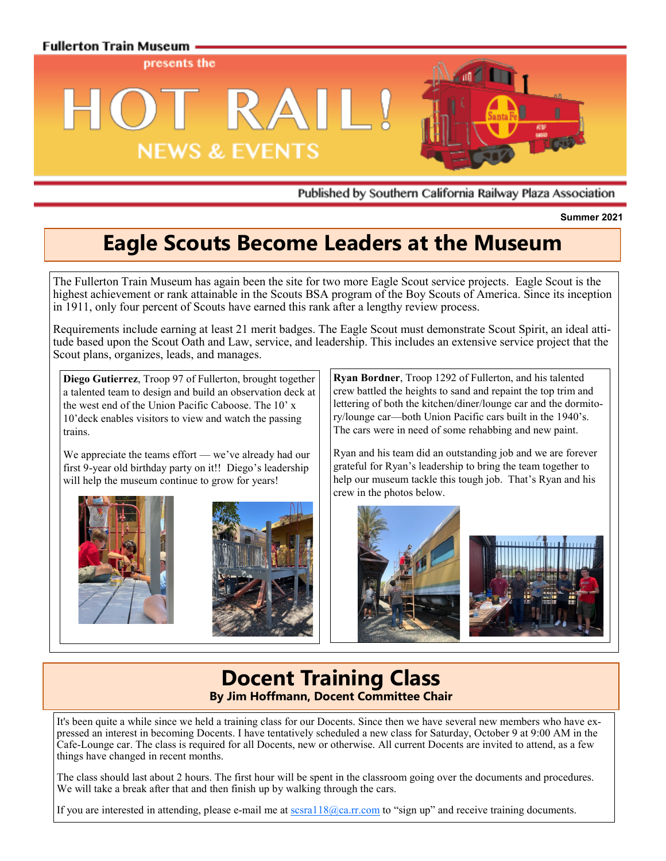

Published by Southern California Railway Plaza Association

**Summer 2021**

# **Eagle Scouts Become Leaders at the Museum**

The Fullerton Train Museum has again been the site for two more Eagle Scout service projects. Eagle Scout is the highest achievement or rank attainable in the Scouts BSA program of the Boy Scouts of America. Since its inception in 1911, only four percent of Scouts have earned this rank after a lengthy review process.

Requirements include earning at least 21 [merit badges.](https://en.wikipedia.org/wiki/Merit_badge_(Boy_Scouts_of_America)) The Eagle Scout must demonstrate [Scout Spirit,](https://en.wikipedia.org/wiki/Scout_Spirit) an ideal attitude based upon the Scout Oath and Law, service, and leadership. This includes an extensive service project that the Scout plans, organizes, leads, and manages.

**Diego Gutierrez**, Troop 97 of Fullerton, brought together a talented team to design and build an observation deck at the west end of the Union Pacific Caboose. The 10' x 10'deck enables visitors to view and watch the passing trains.

We appreciate the teams effort — we've already had our first 9-year old birthday party on it!! Diego's leadership will help the museum continue to grow for years!





**Ryan Bordner**, Troop 1292 of Fullerton, and his talented crew battled the heights to sand and repaint the top trim and lettering of both the kitchen/diner/lounge car and the dormitory/lounge car—both Union Pacific cars built in the 1940's. The cars were in need of some rehabbing and new paint.

Ryan and his team did an outstanding job and we are forever grateful for Ryan's leadership to bring the team together to help our museum tackle this tough job. That's Ryan and his crew in the photos below.



## **Docent Training Class By Jim Hoffmann, Docent Committee Chair**

It's been quite a while since we held a training class for our Docents. Since then we have several new members who have expressed an interest in becoming Docents. I have tentatively scheduled a new class for Saturday, October 9 at 9:00 AM in the Cafe-Lounge car. The class is required for all Docents, new or otherwise. All current Docents are invited to attend, as a few things have changed in recent months.

The class should last about 2 hours. The first hour will be spent in the classroom going over the documents and procedures. We will take a break after that and then finish up by walking through the cars.

If you are interested in attending, please e-mail me at  $\frac{s}{\sqrt{2}}$  a. The scale of "sign up" and receive training documents.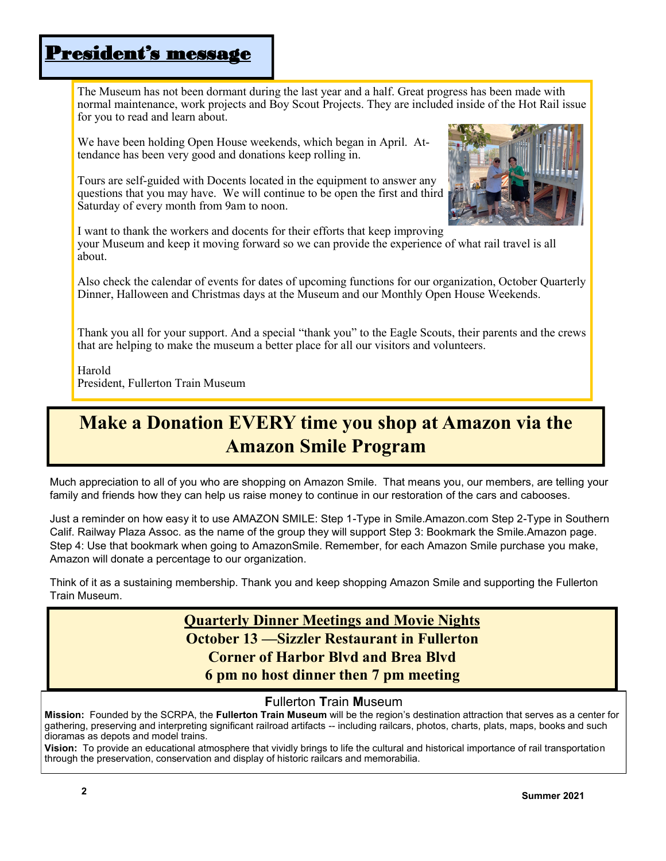# President's message

The Museum has not been dormant during the last year and a half. Great progress has been made with normal maintenance, work projects and Boy Scout Projects. They are included inside of the Hot Rail issue for you to read and learn about.

We have been holding Open House weekends, which began in April. Attendance has been very good and donations keep rolling in.

Tours are self-guided with Docents located in the equipment to answer any questions that you may have. We will continue to be open the first and third Saturday of every month from 9am to noon.



I want to thank the workers and docents for their efforts that keep improving your Museum and keep it moving forward so we can provide the experience of what rail travel is all about.

Also check the calendar of events for dates of upcoming functions for our organization, October Quarterly Dinner, Halloween and Christmas days at the Museum and our Monthly Open House Weekends.

Thank you all for your support. And a special "thank you" to the Eagle Scouts, their parents and the crews that are helping to make the museum a better place for all our visitors and volunteers.

Harold President, Fullerton Train Museum

# **Make a Donation EVERY time you shop at Amazon via the Amazon Smile Program**

Much appreciation to all of you who are shopping on Amazon Smile. That means you, our members, are telling your family and friends how they can help us raise money to continue in our restoration of the cars and cabooses.

Just a reminder on how easy it to use AMAZON SMILE: Step 1-Type in Smile.Amazon.com Step 2-Type in Southern Calif. Railway Plaza Assoc. as the name of the group they will support Step 3: Bookmark the Smile.Amazon page. Step 4: Use that bookmark when going to AmazonSmile. Remember, for each Amazon Smile purchase you make, Amazon will donate a percentage to our organization.

Think of it as a sustaining membership. Thank you and keep shopping Amazon Smile and supporting the Fullerton Train Museum.

### **Quarterly Dinner Meetings and Movie Nights October 13 —Sizzler Restaurant in Fullerton Corner of Harbor Blvd and Brea Blvd 6 pm no host dinner then 7 pm meeting**

#### **F**ullerton **T**rain **M**useum

**Mission:** Founded by the SCRPA, the **Fullerton Train Museum** will be the region's destination attraction that serves as a center for gathering, preserving and interpreting significant railroad artifacts -- including railcars, photos, charts, plats, maps, books and such dioramas as depots and model trains.

**Vision:** To provide an educational atmosphere that vividly brings to life the cultural and historical importance of rail transportation through the preservation, conservation and display of historic railcars and memorabilia.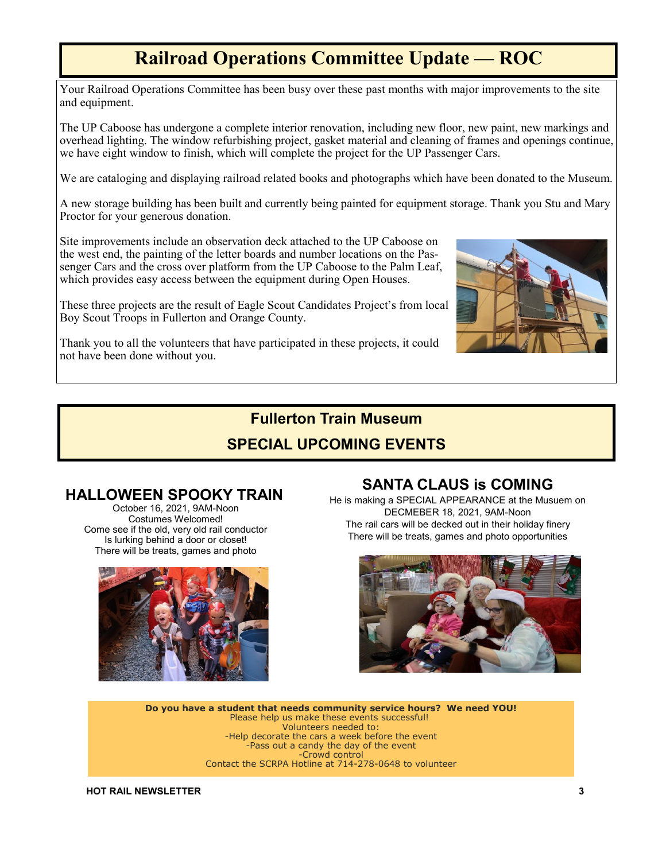# **Railroad Operations Committee Update — ROC**

Your Railroad Operations Committee has been busy over these past months with major improvements to the site and equipment.

The UP Caboose has undergone a complete interior renovation, including new floor, new paint, new markings and overhead lighting. The window refurbishing project, gasket material and cleaning of frames and openings continue, we have eight window to finish, which will complete the project for the UP Passenger Cars.

We are cataloging and displaying railroad related books and photographs which have been donated to the Museum.

A new storage building has been built and currently being painted for equipment storage. Thank you Stu and Mary Proctor for your generous donation.

Site improvements include an observation deck attached to the UP Caboose on the west end, the painting of the letter boards and number locations on the Passenger Cars and the cross over platform from the UP Caboose to the Palm Leaf, which provides easy access between the equipment during Open Houses.

These three projects are the result of Eagle Scout Candidates Project's from local Boy Scout Troops in Fullerton and Orange County.



Thank you to all the volunteers that have participated in these projects, it could not have been done without you.

## **Fullerton Train Museum SPECIAL UPCOMING EVENTS**

### **HALLOWEEN SPOOKY TRAIN**

October 16, 2021, 9AM-Noon Costumes Welcomed! Come see if the old, very old rail conductor Is lurking behind a door or closet! There will be treats, games and photo



### **SANTA CLAUS is COMING**

He is making a SPECIAL APPEARANCE at the Musuem on DECMEBER 18, 2021, 9AM-Noon The rail cars will be decked out in their holiday finery There will be treats, games and photo opportunities



**Do you have a student that needs community service hours? We need YOU!** Please help us make these events successful! Volunteers needed to: -Help decorate the cars a week before the event -Pass out a candy the day of the event -Crowd control Contact the SCRPA Hotline at 714-278-0648 to volunteer